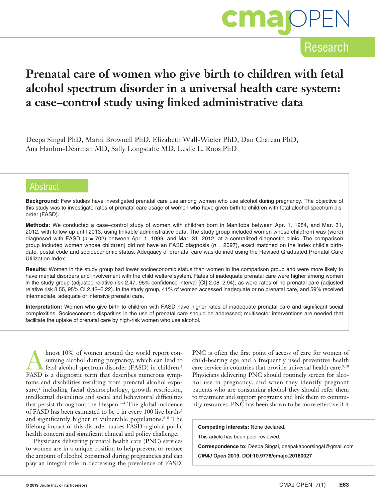

### Research

## **Prenatal care of women who give birth to children with fetal alcohol spectrum disorder in a universal health care system: a case–control study using linked administrative data**

Deepa Singal PhD, Marni Brownell PhD, Elizabeth Wall-Wieler PhD, Dan Chateau PhD, Ana Hanlon-Dearman MD, Sally Longstaffe MD, Leslie L. Roos PhD

#### **Abstract**

**Background:** Few studies have investigated prenatal care use among women who use alcohol during pregnancy. The objective of this study was to investigate rates of prenatal care usage of women who have given birth to children with fetal alcohol spectrum disorder (FASD).

**Methods:** We conducted a case–control study of women with children born in Manitoba between Apr. 1, 1984, and Mar. 31, 2012, with follow-up until 2013, using linkable administrative data. The study group included women whose child(ren) was (were) diagnosed with FASD (*n* = 702) between Apr. 1, 1999, and Mar. 31, 2012, at a centralized diagnostic clinic. The comparison group included women whose child(ren) did not have an FASD diagnosis (*n* = 2097), exact matched on the index child's birthdate, postal code and socioeconomic status. Adequacy of prenatal care was defined using the Revised Graduated Prenatal Care Utilization Index.

**Results:** Women in the study group had lower socioeconomic status than women in the comparison group and were more likely to have mental disorders and involvement with the child welfare system. Rates of inadequate prenatal care were higher among women in the study group (adjusted relative risk 2.47, 95% confidence interval [CI] 2.08–2.94), as were rates of no prenatal care (adjusted relative risk 3.55, 95% CI 2.42–5.22). In the study group, 41% of women accessed inadequate or no prenatal care, and 59% received intermediate, adequate or intensive prenatal care.

**Interpretation:** Women who give birth to children with FASD have higher rates of inadequate prenatal care and significant social complexities. Socioeconomic disparities in the use of prenatal care should be addressed; multisector interventions are needed that facilitate the uptake of prenatal care by high-risk women who use alcohol.

Imost 10% of women around the world report con-<br>suming alcohol during pregnancy, which can lead to<br>fetal alcohol spectrum disorder (FASD) in children.<sup>1</sup> suming alcohol during pregnancy, which can lead to fetal alcohol spectrum disorder (FASD) in children.1 FASD is a diagnostic term that describes numerous symptoms and disabilities resulting from prenatal alcohol exposure,<sup>2</sup> including facial dysmorphology, growth restriction, intellectual disabilities and social and behavioural difficulties that persist throughout the lifespan. $2-4$  The global incidence of FASD has been estimated to be 1 in every 100 live births<sup>5</sup> and significantly higher in vulnerable populations. $6-8$  The lifelong impact of this disorder makes FASD a global public health concern and significant clinical and policy challenge.

Physicians delivering prenatal health care (PNC) services to women are in a unique position to help prevent or reduce the amount of alcohol consumed during pregnancies and can play an integral role in decreasing the prevalence of FASD. PNC is often the first point of access of care for women of child-bearing age and a frequently used preventive health care service in countries that provide universal health care.<sup>9,10</sup> Physicians delivering PNC should routinely screen for alcohol use in pregnancy, and when they identify pregnant patients who are consuming alcohol they should refer them to treatment and support programs and link them to community resources. PNC has been shown to be more effective if it

**Competing interests:** None declared.

This article has been peer reviewed.

**Correspondence to:** Deepa Singal, deepakapoorsingal@gmail.com

*CMAJ Open* **2019. DOI:10.9778/cmajo.20180027**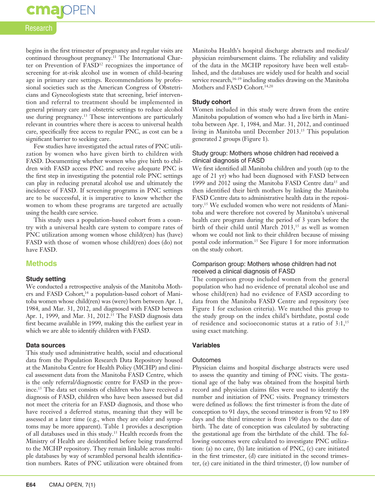## **cmajoPEN**

#### Research

begins in the first trimester of pregnancy and regular visits are continued throughout pregnancy.11 The International Charter on Prevention of FASD<sup>12</sup> recognizes the importance of screening for at-risk alcohol use in women of child-bearing age in primary care settings. Recommendations by professional societies such as the American Congress of Obstetricians and Gynecologiests state that screening, brief intervention and referral to treatment should be implemented in general primary care and obstetric settings to reduce alcohol use during pregnancy.<sup>13</sup> These interventions are particularly relevant in countries where there is access to universal health care, specifically free access to regular PNC, as cost can be a significant barrier to seeking care.

Few studies have investigated the actual rates of PNC utilization by women who have given birth to children with FASD. Documenting whether women who give birth to children with FASD access PNC and receive adequate PNC is the first step in investigating the potential role PNC settings can play in reducing prenatal alcohol use and ultimately the incidence of FASD. If screening programs in PNC settings are to be successful, it is imperative to know whether the women to whom these programs are targeted are actually using the health care service.

This study uses a population-based cohort from a country with a universal health care system to compare rates of PNC utilization among women whose child(ren) has (have) FASD with those of women whose child(ren) does (do) not have FASD.

#### **Methods**

#### **Study setting**

We conducted a retrospective analysis of the Manitoba Mothers and FASD Cohort,<sup>14</sup> a population-based cohort of Manitoba women whose child(ren) was (were) born between Apr. 1, 1984, and Mar. 31, 2012, and diagnosed with FASD between Apr. 1, 1999, and Mar. 31, 2012.<sup>15</sup> The FASD diagnosis data first became available in 1999, making this the earliest year in which we are able to identify children with FASD.

#### **Data sources**

This study used administrative health, social and educational data from the Population Research Data Repository housed at the Manitoba Centre for Health Policy (MCHP) and clinical assessment data from the Manitoba FASD Centre, which is the only referral/diagnostic centre for FASD in the province.15 The data set consists of children who have received a diagnosis of FASD, children who have been assessed but did not meet the criteria for an FASD diagnosis, and those who have received a deferred status, meaning that they will be assessed at a later time (e.g., when they are older and symptoms may be more apparent). Table 1 provides a description of all databases used in this study.15 Health records from the Ministry of Health are deidentified before being transferred to the MCHP repository. They remain linkable across multiple databases by way of scrambled personal health identification numbers. Rates of PNC utilization were obtained from

Manitoba Health's hospital discharge abstracts and medical/ physician reimbursement claims. The reliability and validity of the data in the MCHP repository have been well established, and the databases are widely used for health and social service research,<sup>16-19</sup> including studies drawing on the Manitoba Mothers and FASD Cohort.<sup>14,20</sup>

#### **Study cohort**

Women included in this study were drawn from the entire Manitoba population of women who had a live birth in Manitoba between Apr. 1, 1984, and Mar. 31, 2012, and continued living in Manitoba until December 2013.15 This population generated 2 groups (Figure 1).

#### Study group: Mothers whose children had received a clinical diagnosis of FASD

We first identified all Manitoba children and youth (up to the age of 21 yr) who had been diagnosed with FASD between 1999 and 2012 using the Manitoba FASD Centre data<sup>15</sup> and then identified their birth mothers by linking the Manitoba FASD Centre data to administrative health data in the repository.15 We excluded women who were not residents of Manitoba and were therefore not covered by Manitoba's universal health care program during the period of 3 years before the birth of their child until March  $2013$ ,<sup>15</sup> as well as women whom we could not link to their children because of missing postal code information.15 See Figure 1 for more information on the study cohort.

#### Comparison group: Mothers whose children had not received a clinical diagnosis of FASD

The comparison group included women from the general population who had no evidence of prenatal alcohol use and whose child(ren) had no evidence of FASD according to data from the Manitoba FASD Centre and repository (see Figure 1 for exclusion criteria). We matched this group to the study group on the index child's birthdate, postal code of residence and socioeconomic status at a ratio of 3:1,<sup>15</sup> using exact matching.

#### **Variables**

#### **Outcomes**

Physician claims and hospital discharge abstracts were used to assess the quantity and timing of PNC visits. The gestational age of the baby was obtained from the hospital birth record and physician claims files were used to identify the number and initiation of PNC visits. Pregnancy trimesters were defined as follows: the first trimester is from the date of conception to 91 days, the second trimester is from 92 to 189 days and the third trimester is from 190 days to the date of birth. The date of conception was calculated by subtracting the gestational age from the birthdate of the child. The following outcomes were calculated to investigate PNC utilization: (a) no care, (b) late initiation of PNC, (c) care initiated in the first trimester, (d) care initiated in the second trimester, (e) care initiated in the third trimester, (f) low number of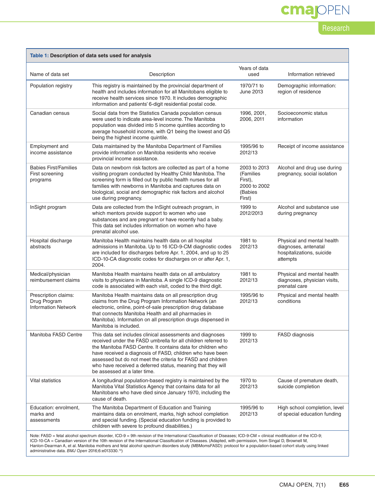# cmajOPEN

### Research

| Table 1: Description of data sets used for analysis                                                                                                                                                                                                                                                                                                                                                                                                                                                                                                             |                                                                                                                                                                                                                                                                                                                                                                                                                      |                                                                           |                                                                                             |  |
|-----------------------------------------------------------------------------------------------------------------------------------------------------------------------------------------------------------------------------------------------------------------------------------------------------------------------------------------------------------------------------------------------------------------------------------------------------------------------------------------------------------------------------------------------------------------|----------------------------------------------------------------------------------------------------------------------------------------------------------------------------------------------------------------------------------------------------------------------------------------------------------------------------------------------------------------------------------------------------------------------|---------------------------------------------------------------------------|---------------------------------------------------------------------------------------------|--|
| Name of data set                                                                                                                                                                                                                                                                                                                                                                                                                                                                                                                                                | Description                                                                                                                                                                                                                                                                                                                                                                                                          | Years of data<br>used                                                     | Information retrieved                                                                       |  |
| Population registry                                                                                                                                                                                                                                                                                                                                                                                                                                                                                                                                             | This registry is maintained by the provincial department of<br>health and includes information for all Manitobans eligible to<br>receive health services since 1970. It includes demographic<br>information and patients' 6-digit residential postal code.                                                                                                                                                           | 1970/71 to<br>June 2013                                                   | Demographic information:<br>region of residence                                             |  |
| Canadian census                                                                                                                                                                                                                                                                                                                                                                                                                                                                                                                                                 | Social data from the Statistics Canada population census<br>were used to indicate area-level income. The Manitoba<br>population was divided into 5 income quintiles according to<br>average household income, with Q1 being the lowest and Q5<br>being the highest income quintile.                                                                                                                                  | 1996, 2001,<br>2006.2011                                                  | Socioeconomic status<br>information                                                         |  |
| Employment and<br>income assistance                                                                                                                                                                                                                                                                                                                                                                                                                                                                                                                             | Data maintained by the Manitoba Department of Families<br>provide information on Manitoba residents who receive<br>provincial income assistance.                                                                                                                                                                                                                                                                     | 1995/96 to<br>2012/13                                                     | Receipt of income assistance                                                                |  |
| <b>Babies First/Families</b><br>First screening<br>programs                                                                                                                                                                                                                                                                                                                                                                                                                                                                                                     | Data on newborn risk factors are collected as part of a home<br>visiting program conducted by Healthy Child Manitoba. The<br>screening form is filled out by public health nurses for all<br>families with newborns in Manitoba and captures data on<br>biological, social and demographic risk factors and alcohol<br>use during pregnancy.                                                                         | 2003 to 2013<br>(Families<br>First),<br>2000 to 2002<br>(Babies<br>First) | Alcohol and drug use during<br>pregnancy, social isolation                                  |  |
| InSight program                                                                                                                                                                                                                                                                                                                                                                                                                                                                                                                                                 | Data are collected from the InSight outreach program, in<br>which mentors provide support to women who use<br>substances and are pregnant or have recently had a baby.<br>This data set includes information on women who have<br>prenatal alcohol use.                                                                                                                                                              | 1999 to<br>2012/2013                                                      | Alcohol and substance use<br>during pregnancy                                               |  |
| Hospital discharge<br>abstracts                                                                                                                                                                                                                                                                                                                                                                                                                                                                                                                                 | Manitoba Health maintains health data on all hospital<br>admissions in Manitoba. Up to 16 ICD-9-CM diagnostic codes<br>are included for discharges before Apr. 1, 2004, and up to 25<br>ICD-10-CA diagnostic codes for discharges on or after Apr. 1,<br>2004.                                                                                                                                                       | 1981 to<br>2012/13                                                        | Physical and mental health<br>diagnoses, antenatal<br>hospitalizations, suicide<br>attempts |  |
| Medical/physician<br>reimbursement claims                                                                                                                                                                                                                                                                                                                                                                                                                                                                                                                       | Manitoba Health maintains health data on all ambulatory<br>visits to physicians in Manitoba. A single ICD-9 diagnostic<br>code is associated with each visit, coded to the third digit.                                                                                                                                                                                                                              | 1981 to<br>2012/13                                                        | Physical and mental health<br>diagnoses, physician visits,<br>prenatal care                 |  |
| Prescription claims:<br>Drug Program<br><b>Information Network</b>                                                                                                                                                                                                                                                                                                                                                                                                                                                                                              | Manitoba Health maintains data on all prescription drug<br>claims from the Drug Program Information Network (an<br>electronic, online, point-of-sale prescription drug database<br>that connects Manitoba Health and all pharmacies in<br>Manitoba). Information on all prescription drugs dispensed in<br>Manitoba is included.                                                                                     | 1995/96 to<br>2012/13                                                     | Physical and mental health<br>conditions                                                    |  |
| Manitoba FASD Centre                                                                                                                                                                                                                                                                                                                                                                                                                                                                                                                                            | This data set includes clinical assessments and diagnoses<br>received under the FASD umbrella for all children referred to<br>the Manitoba FASD Centre. It contains data for children who<br>have received a diagnosis of FASD, children who have been<br>assessed but do not meet the criteria for FASD and children<br>who have received a deferred status, meaning that they will<br>be assessed at a later time. | 1999 to<br>2012/13                                                        | FASD diagnosis                                                                              |  |
| Vital statistics                                                                                                                                                                                                                                                                                                                                                                                                                                                                                                                                                | A longitudinal population-based registry is maintained by the<br>Manitoba Vital Statistics Agency that contains data for all<br>Manitobans who have died since January 1970, including the<br>cause of death.                                                                                                                                                                                                        | 1970 to<br>2012/13                                                        | Cause of premature death,<br>suicide completion                                             |  |
| Education: enrolment,<br>marks and<br>assessments                                                                                                                                                                                                                                                                                                                                                                                                                                                                                                               | The Manitoba Department of Education and Training<br>maintains data on enrolment, marks, high school completion<br>and special funding. (Special education funding is provided to<br>children with severe to profound disabilities.)                                                                                                                                                                                 | 1995/96 to<br>2012/13                                                     | High school completion, level<br>of special education funding                               |  |
| Note: FASD = fetal alcohol spectrum disorder, ICD-9 = 9th revision of the International Classification of Diseases; ICD-9-CM = clinical modification of the ICD-9;<br>ICD-10-CA = Canadian version of the 10th revision of the International Classification of Diseases. (Adapted, with permission, from Singal D, Brownell M,<br>Hanlon-Dearman A, et al. Manitoba mothers and fetal alcohol spectrum disorders study (MBMomsFASD): protocol for a population-based cohort study using linked<br>administrative data. BMJ Open 2016;6:e013330. <sup>14</sup> ) |                                                                                                                                                                                                                                                                                                                                                                                                                      |                                                                           |                                                                                             |  |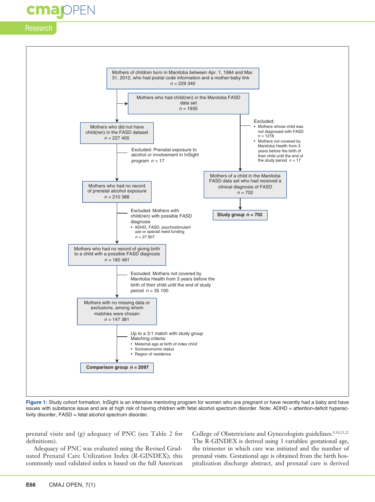## **Majopen**

#### Research



**Figure 1:** Study cohort formation. InSight is an intensive mentoring program for women who are pregnant or have recently had a baby and have issues with substance issue and are at high risk of having children with fetal alcohol spectrum disorder. Note: ADHD = attention-deficit hyperactivity disorder, FASD = fetal alcohol spectrum disorder.

prenatal visits and (g) adequacy of PNC (see Table 2 for definitions).

Adequacy of PNC was evaluated using the Revised Graduated Prenatal Care Utilization Index (R-GINDEX); this commonly used validated index is based on the full American

College of Obstetricians and Gynecologists guidelines.9,10,21,22 The R-GINDEX is derived using 3 variables: gestational age, the trimester in which care was initiated and the number of prenatal visits. Gestational age is obtained from the birth hospitalization discharge abstract, and prenatal care is derived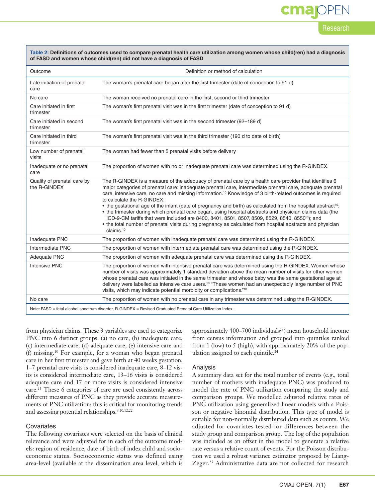# **OPEN**

Research

| Table 2: Definitions of outcomes used to compare prenatal health care utilization among women whose child(ren) had a diagnosis |
|--------------------------------------------------------------------------------------------------------------------------------|
| of FASD and women whose child(ren) did not have a diagnosis of FASD                                                            |

| Outcome                                     | Definition or method of calculation                                                                                                                                                                                                                                                                                                                                                                                                                                                                                                                                                                                                                                                                                                                                                                                                                                           |
|---------------------------------------------|-------------------------------------------------------------------------------------------------------------------------------------------------------------------------------------------------------------------------------------------------------------------------------------------------------------------------------------------------------------------------------------------------------------------------------------------------------------------------------------------------------------------------------------------------------------------------------------------------------------------------------------------------------------------------------------------------------------------------------------------------------------------------------------------------------------------------------------------------------------------------------|
| Late initiation of prenatal<br>care         | The woman's prenatal care began after the first trimester (date of conception to 91 d)                                                                                                                                                                                                                                                                                                                                                                                                                                                                                                                                                                                                                                                                                                                                                                                        |
| No care                                     | The woman received no prenatal care in the first, second or third trimester                                                                                                                                                                                                                                                                                                                                                                                                                                                                                                                                                                                                                                                                                                                                                                                                   |
| Care initiated in first<br>trimester        | The woman's first prenatal visit was in the first trimester (date of conception to 91 d)                                                                                                                                                                                                                                                                                                                                                                                                                                                                                                                                                                                                                                                                                                                                                                                      |
| Care initiated in second<br>trimester       | The woman's first prenatal visit was in the second trimester (92-189 d)                                                                                                                                                                                                                                                                                                                                                                                                                                                                                                                                                                                                                                                                                                                                                                                                       |
| Care initiated in third<br>trimester        | The woman's first prenatal visit was in the third trimester (190 d to date of birth)                                                                                                                                                                                                                                                                                                                                                                                                                                                                                                                                                                                                                                                                                                                                                                                          |
| Low number of prenatal<br>visits            | The woman had fewer than 5 prenatal visits before delivery                                                                                                                                                                                                                                                                                                                                                                                                                                                                                                                                                                                                                                                                                                                                                                                                                    |
| Inadequate or no prenatal<br>care           | The proportion of women with no or inadequate prenatal care was determined using the R-GINDEX.                                                                                                                                                                                                                                                                                                                                                                                                                                                                                                                                                                                                                                                                                                                                                                                |
| Quality of prenatal care by<br>the R-GINDEX | The R-GINDEX is a measure of the adequacy of prenatal care by a health care provider that identifies 6<br>major categories of prenatal care: inadequate prenatal care, intermediate prenatal care, adequate prenatal<br>care, intensive care, no care and missing information. <sup>10</sup> Knowledge of 3 birth-related outcomes is required<br>to calculate the R-GINDEX:<br>• the gestational age of the infant (date of pregnancy and birth) as calculated from the hospital abstract <sup>10</sup> ;<br>• the trimester during which prenatal care began, using hospital abstracts and physician claims data (the<br>ICD-9-CM tariffs that were included are 8400, 8401, 8501, 8507, 8509, 8529, 8540, 8550 <sup>10</sup> ); and<br>• the total number of prenatal visits during pregnancy as calculated from hospital abstracts and physician<br>claims. <sup>10</sup> |
| Inadequate PNC                              | The proportion of women with inadequate prenatal care was determined using the R-GINDEX.                                                                                                                                                                                                                                                                                                                                                                                                                                                                                                                                                                                                                                                                                                                                                                                      |
| Intermediate PNC                            | The proportion of women with intermediate prenatal care was determined using the R-GINDEX.                                                                                                                                                                                                                                                                                                                                                                                                                                                                                                                                                                                                                                                                                                                                                                                    |
| Adequate PNC                                | The proportion of women with adequate prenatal care was determined using the R-GINDEX.                                                                                                                                                                                                                                                                                                                                                                                                                                                                                                                                                                                                                                                                                                                                                                                        |
| <b>Intensive PNC</b>                        | The proportion of women with intensive prenatal care was determined using the R-GINDEX. Women whose<br>number of visits was approximately 1 standard deviation above the mean number of visits for other women<br>whose prenatal care was initiated in the same trimester and whose baby was the same gestational age at<br>delivery were labelled as intensive care users. <sup>10</sup> "These women had an unexpectedly large number of PNC<br>visits, which may indicate potential morbidity or complications."10                                                                                                                                                                                                                                                                                                                                                         |
| No care                                     | The proportion of women with no prenatal care in any trimester was determined using the R-GINDEX.                                                                                                                                                                                                                                                                                                                                                                                                                                                                                                                                                                                                                                                                                                                                                                             |
|                                             | Note: FASD = fetal alcohol spectrum disorder, R-GINDEX = Revised Graduated Prenatal Care Utilization Index.                                                                                                                                                                                                                                                                                                                                                                                                                                                                                                                                                                                                                                                                                                                                                                   |

from physician claims. These 3 variables are used to categorize PNC into 6 distinct groups: (a) no care, (b) inadequate care, (c) intermediate care, (d) adequate care, (e) intensive care and (f) missing.10 For example, for a woman who began prenatal care in her first trimester and gave birth at 40 weeks gestation, 1–7 prenatal care visits is considered inadequate care, 8–12 visits is considered intermediate care, 13–16 visits is considered adequate care and 17 or more visits is considered intensive care.<sup>21</sup> These 6 categories of care are used consistently across different measures of PNC as they provide accurate measurements of PNC utilization; this is critical for monitoring trends and assessing potential relationships.<sup>9,10,12,22</sup>

#### Covariates

The following covariates were selected on the basis of clinical relevance and were adjusted for in each of the outcome models: region of residence, date of birth of index child and socioeconomic status. Socioeconomic status was defined using area-level (available at the dissemination area level, which is

approximately 400–700 individuals<sup>23</sup>) mean household income from census information and grouped into quintiles ranked from 1 (low) to 5 (high), with approximately 20% of the population assigned to each quintile.<sup>24</sup>

#### Analysis

A summary data set for the total number of events (e.g., total number of mothers with inadequate PNC) was produced to model the rate of PNC utilization comparing the study and comparison groups. We modelled adjusted relative rates of PNC utilization using generalized linear models with a Poisson or negative binomial distribution. This type of model is suitable for non-normally distributed data such as counts. We adjusted for covariates tested for differences between the study group and comparison group. The log of the population was included as an offset in the model to generate a relative rate versus a relative count of events. For the Poisson distribution we used a robust variance estimator proposed by Liang-Zeger.<sup>25</sup> Administrative data are not collected for research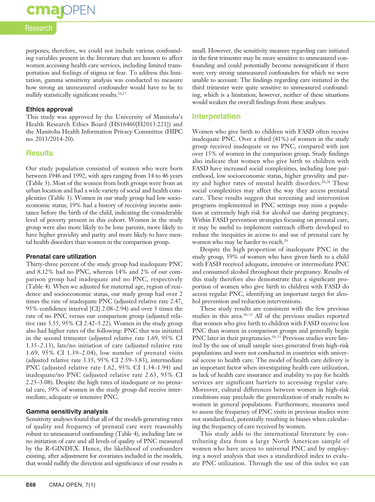## **cma** OPEN

#### Research

purposes; therefore, we could not include various confounding variables present in the literature that are known to affect women accessing health care services, including limited transportation and feelings of stigma or fear. To address this limitation, gamma sensitivity analysis was conducted to measure how strong an unmeasured confounder would have to be to nullify statistically significant results.<sup>26,27</sup>

#### **Ethics approval**

This study was approved by the University of Manitoba's Health Research Ethics Board (HS16460[H2013:221]) and the Manitoba Health Information Privacy Committee (HIPC no. 2013/2014-20).

#### **Results**

Our study population consisted of women who were born between 1946 and 1992, with ages ranging from 14 to 46 years (Table 3). Most of the women from both groups were from an urban location and had a wide variety of social and health complexities (Table 3). Women in our study group had low socioeconomic status; 19% had a history of receiving income assistance before the birth of the child, indicating the considerable level of poverty present in this cohort. Women in the study group were also more likely to be lone parents, more likely to have higher gravidity and parity and more likely to have mental health disorders than women in the comparison group.

#### **Prenatal care utilization**

Thirty-three percent of the study group had inadequate PNC and 8.12% had no PNC, whereas 14% and 2% of our comparison group had inadequate and no PNC, respectively (Table 4). When we adjusted for maternal age, region of residence and socioeconomic status, our study group had over 2 times the rate of inadequate PNC (adjusted relative rate 2.47, 95% confidence interval [CI] 2.08–2.94) and over 3 times the rate of no PNC versus our comparison group (adjusted relative rate 3.55, 95% CI 2.42–5.22). Women in the study group also had higher rates of the following: PNC that was initiated in the second trimester (adjusted relative rate 1.69, 95% CI 1.35–2.13), late/no initiation of care (adjusted relative rate 1.69, 95% CI 1.39–2.04), low number of prenatal visits (adjusted relative rate 3.15, 95% CI 2.59–3.83), intermediate PNC (adjusted relative rate 1.62, 95% CI 1.34–1.94) and inadequate/no PNC (adjusted relative rate 2.63, 95% CI 2.25–3.08). Despite the high rates of inadequate or no prenatal care, 59% of women in the study group did receive intermediate, adequate or intensive PNC.

#### **Gamma sensitivity analysis**

Sensitivity analyses found that all of the models generating rates of quality and frequency of prenatal care were reasonably robust to unmeasured confounding (Table 4), including late or no initiation of care and all levels of quality of PNC measured by the R-GINDEX. Hence, the likelihood of confounders existing, after adjustment for covariates included in the models, that would nullify the direction and significance of our results is

small. However, the sensitivity measure regarding care initiated in the first trimester may be more sensitive to unmeasured confounding and could potentially become nonsignificant if there were very strong unmeasured confounders for which we were unable to account. The findings regarding care initiated in the third trimester were quite sensitive to unmeasured confounding, which is a limitation; however, neither of these situations would weaken the overall findings from these analyses.

#### **Interpretation**

Women who give birth to children with FASD often receive inadequate PNC. Over a third (41%) of women in the study group received inadequate or no PNC, compared with just over 15% of women in the comparison group. Study findings also indicate that women who give birth to children with FASD have increased social complexities, including lone parenthood, low socioeconomic status, higher gravidity and parity and higher rates of mental health disorders.<sup>20,28</sup> These social complexities may affect the way they access prenatal care. These results suggest that screening and intervention programs implemented in PNC settings may miss a population at extremely high risk for alcohol use during pregnancy. Within FASD prevention strategies focusing on prenatal care, it may be useful to implement outreach efforts developed to reduce the inequities in access to and use of prenatal care by women who may be harder to reach.<sup>29</sup>

Despite the high proportion of inadequate PNC in the study group, 59% of women who have given birth to a child with FASD received adequate, intensive or intermediate PNC and consumed alcohol throughout their pregnancy. Results of this study therefore also demonstrate that a significant proportion of women who give birth to children with FASD do access regular PNC, identifying an important target for alcohol prevention and reduction interventions.

These study results are consistent with the few previous studies in this area.<sup>30–33</sup> All of the previous studies reported that women who give birth to children with FASD receive less PNC than women in comparison groups and generally begin PNC later in their pregnancies. $30-33$  Previous studies were limited by the use of small sample sizes generated from high-risk populations and were not conducted in countries with universal access to health care. The model of health care delivery is an important factor when investigating health care utilization, as lack of health care insurance and inability to pay for health services are significant barriers to accessing regular care. Moreover, cultural differences between women in high-risk conditions may preclude the generalization of study results to women in general populations. Furthermore, measures used to assess the frequency of PNC visits in previous studies were not standardized, potentially resulting in biases when calculating the frequency of care received by women.

This study adds to the international literature by contributing data from a large North American sample of women who have access to universal PNC and by employing a novel analysis that uses a standardized index to evaluate PNC utilization. Through the use of this index we can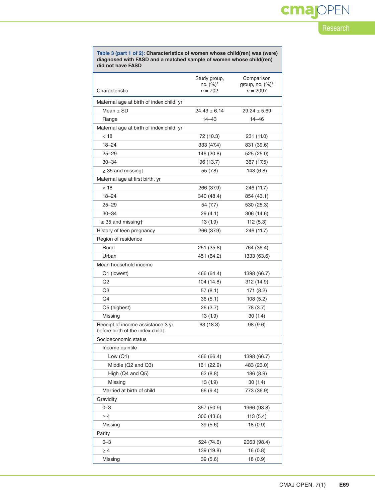# cmajOPEN

### Research

| Table 3 (part 1 of 2): Characteristics of women whose child(ren) was (were) |
|-----------------------------------------------------------------------------|
| diagnosed with FASD and a matched sample of women whose child (ren)         |
| did not have FASD                                                           |

|                                                                       | Study group,<br>Comparison<br>no. $(\%)^*$<br>group, no. $(\%)^*$ |                  |
|-----------------------------------------------------------------------|-------------------------------------------------------------------|------------------|
| Characteristic                                                        | $n = 702$                                                         | $n = 2097$       |
| Maternal age at birth of index child, yr                              |                                                                   |                  |
| Mean $\pm$ SD                                                         | $24.43 \pm 6.14$                                                  | $29.24 \pm 5.69$ |
| Range                                                                 | $14 - 43$                                                         | $14 - 46$        |
| Maternal age at birth of index child, yr                              |                                                                   |                  |
| < 18                                                                  | 72 (10.3)                                                         | 231 (11.0)       |
| $18 - 24$                                                             | 333 (47.4)                                                        | 831 (39.6)       |
| $25 - 29$                                                             | 146 (20.8)                                                        | 525 (25.0)       |
| $30 - 34$                                                             | 96 (13.7)                                                         | 367 (17.5)       |
| $\geq$ 35 and missing†                                                | 55 (7.8)                                                          | 143 (6.8)        |
| Maternal age at first birth, yr                                       |                                                                   |                  |
| < 18                                                                  | 266 (37.9)                                                        | 246 (11.7)       |
| $18 - 24$                                                             | 340 (48.4)                                                        | 854 (43.1)       |
| $25 - 29$                                                             | 54 (7.7)                                                          | 530 (25.3)       |
| $30 - 34$                                                             | 29 (4.1)                                                          | 306 (14.6)       |
| $\geq$ 35 and missing†                                                | 13 (1.9)                                                          | 112 (5.3)        |
| History of teen pregnancy                                             | 266 (37.9)                                                        | 246 (11.7)       |
| Region of residence                                                   |                                                                   |                  |
| Rural                                                                 | 251 (35.8)                                                        | 764 (36.4)       |
| Urban                                                                 | 451 (64.2)                                                        | 1333 (63.6)      |
| Mean household income                                                 |                                                                   |                  |
| Q1 (lowest)                                                           | 466 (64.4)                                                        | 1398 (66.7)      |
| Q <sub>2</sub>                                                        | 104 (14.8)                                                        | 312 (14.9)       |
| Q3                                                                    | 57(8.1)                                                           | 171 (8.2)        |
| Q4                                                                    | 36(5.1)                                                           | 108(5.2)         |
| Q5 (highest)                                                          | 26 (3.7)                                                          | 78 (3.7)         |
| Missing                                                               | 13 (1.9)                                                          | 30(1.4)          |
| Receipt of income assistance 3 yr<br>before birth of the index child‡ | 63 (18.3)                                                         | 98 (9.6)         |
| Socioeconomic status                                                  |                                                                   |                  |
| Income quintile                                                       |                                                                   |                  |
| Low $(Q1)$                                                            | 466 (66.4)                                                        | 1398 (66.7)      |
| Middle (Q2 and Q3)                                                    | 161 (22.9)                                                        | 483 (23.0)       |
| High (Q4 and Q5)                                                      | 62 (8.8)                                                          | 186 (8.9)        |
| Missing                                                               | 13 (1.9)                                                          | 30 (1.4)         |
| Married at birth of child                                             | 66 (9.4)                                                          | 773 (36.9)       |
| Gravidity                                                             |                                                                   |                  |
| $0 - 3$                                                               | 357 (50.9)                                                        | 1966 (93.8)      |
| $\geq 4$                                                              | 306 (43.6)                                                        | 113 (5.4)        |
| Missing                                                               | 39(5.6)                                                           | 18 (0.9)         |
| Parity                                                                |                                                                   |                  |
| $0 - 3$                                                               | 524 (74.6)                                                        | 2063 (98.4)      |
| $\geq 4$                                                              | 139 (19.8)                                                        | 16 (0.8)         |
| Missing                                                               | 39(5.6)                                                           | 18 (0.9)         |
|                                                                       |                                                                   |                  |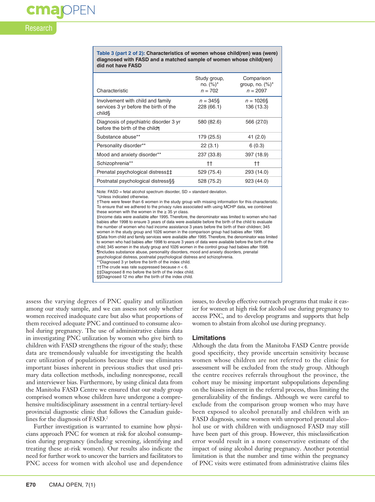## Research

cmappen

**Table 3 (part 2 of 2): Characteristics of women whose child(ren) was (were) diagnosed with FASD and a matched sample of women whose child(ren) did not have FASD**

| Characteristic                                                                      | Study group,<br>no. $(%)^*$<br>$n = 702$ | Comparison<br>group, no. $(\%)^*$<br>$n = 2097$ |
|-------------------------------------------------------------------------------------|------------------------------------------|-------------------------------------------------|
| Involvement with child and family<br>services 3 yr before the birth of the<br>child | $n = 345\$<br>228 (66.1)                 | $n = 1026$ §<br>136 (13.3)                      |
| Diagnosis of psychiatric disorder 3 yr<br>before the birth of the child             | 580 (82.6)                               | 566 (27.0)                                      |
| Substance abuse**                                                                   | 179 (25.5)                               | 41(2.0)                                         |
| Personality disorder**                                                              | 22(3.1)                                  | 6(0.3)                                          |
| Mood and anxiety disorder**                                                         | 237 (33.8)                               | 397 (18.9)                                      |
| Schizophrenia**                                                                     | tt.                                      | tt.                                             |
| Prenatal psychological distress‡‡                                                   | 529 (75.4)                               | 293 (14.0)                                      |
| Postnatal psychological distress§§                                                  | 528 (75.2)                               | 923 (44.0)                                      |

Note: FASD = fetal alcohol spectrum disorder, SD = standard deviation.

\*Unless indicated otherwise.

†There were fewer than 6 women in the study group with missing information for this characteristic. To ensure that we adhered to the privacy rules associated with using MCHP data, we combined these women with the women in the  $\geq 35$  yr class.

‡Income data were available after 1995. Therefore, the denominator was limited to women who had babies after 1998 to ensure 3 years of data were available before the birth of the child to evaluate the number of women who had income assistance 3 years before the birth of their children; 345 women in the study group and 1026 women in the comparison group had babies after 1998. §Data from child and family services were available after 1995. Therefore, the denominator was limited to women who had babies after 1998 to ensure 3 years of data were available before the birth of the

child; 345 women in the study group and 1026 women in the control group had babies after 1998.

¶Includes substance abuse, personality disorders, mood and anxiety disorders, prenatal psychological distress, postnatal psychological distress and schizophrenia.

\*\*Diagnosed 3 yr before the birth of the index child.

††The crude was rate suppressed because *n* < 6.

‡‡Diagnosed 8 mo before the birth of the index child.

§§Diagnosed 12 mo after the birth of the index child.

assess the varying degrees of PNC quality and utilization among our study sample, and we can assess not only whether women received inadequate care but also what proportions of them received adequate PNC and continued to consume alcohol during pregnancy. The use of administrative claims data in investigating PNC utilization by women who give birth to children with FASD strengthens the rigour of the study; these data are tremendously valuable for investigating the health care utilization of populations because their use eliminates important biases inherent in previous studies that used primary data collection methods, including nonresponse, recall and interviewer bias. Furthermore, by using clinical data from the Manitoba FASD Centre we ensured that our study group comprised women whose children have undergone a comprehensive multidisciplinary assessment in a central tertiary-level provincial diagnostic clinic that follows the Canadian guidelines for the diagnosis of FASD.<sup>2</sup>

Further investigation is warranted to examine how physicians approach PNC for women at risk for alcohol consumption during pregnancy (including screening, identifying and treating these at-risk women). Our results also indicate the need for further work to uncover the barriers and facilitators to PNC access for women with alcohol use and dependence

issues, to develop effective outreach programs that make it easier for women at high risk for alcohol use during pregnancy to access PNC, and to develop programs and supports that help women to abstain from alcohol use during pregnancy.

#### **Limitations**

Although the data from the Manitoba FASD Centre provide good specificity, they provide uncertain sensitivity because women whose children are not referred to the clinic for assessment will be excluded from the study group. Although the centre receives referrals throughout the province, the cohort may be missing important subpopulations depending on the biases inherent in the referral process, thus limiting the generalizability of the findings. Although we were careful to exclude from the comparison group women who may have been exposed to alcohol prenatally and children with an FASD diagnosis, some women with unreported prenatal alcohol use or with children with undiagnosed FASD may still have been part of this group. However, this misclassification error would result in a more conservative estimate of the impact of using alcohol during pregnancy. Another potential limitation is that the number and time within the pregnancy of PNC visits were estimated from administrative claims files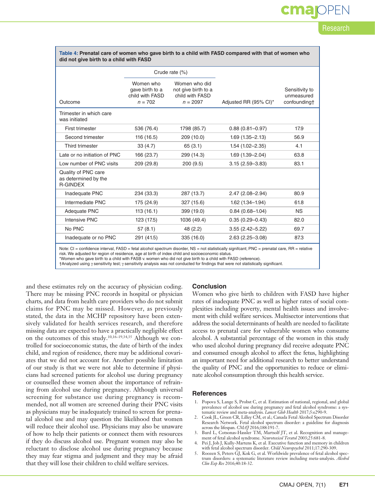## **OPEN** Research

| did not give birth to a child with FASD                        |                                                              |                                                                       |                       |                                              |  |  |
|----------------------------------------------------------------|--------------------------------------------------------------|-----------------------------------------------------------------------|-----------------------|----------------------------------------------|--|--|
|                                                                | Crude rate (%)                                               |                                                                       |                       |                                              |  |  |
| Outcome                                                        | Women who<br>gave birth to a<br>child with FASD<br>$n = 702$ | Women who did<br>not give birth to a<br>child with FASD<br>$n = 2097$ | Adjusted RR (95% CI)* | Sensitivity to<br>unmeasured<br>confounding† |  |  |
| Trimester in which care<br>was initiated                       |                                                              |                                                                       |                       |                                              |  |  |
| First trimester                                                | 536 (76.4)                                                   | 1798 (85.7)                                                           | $0.88(0.81 - 0.97)$   | 17.9                                         |  |  |
| Second trimester                                               | 116 (16.5)                                                   | 209 (10.0)                                                            | $1.69(1.35 - 2.13)$   | 56.9                                         |  |  |
| Third trimester                                                | 33(4.7)                                                      | 65(3.1)                                                               | $1.54(1.02 - 2.35)$   | 4.1                                          |  |  |
| Late or no initiation of PNC                                   | 166 (23.7)                                                   | 299 (14.3)                                                            | $1.69(1.39 - 2.04)$   | 63.8                                         |  |  |
| Low number of PNC visits                                       | 209 (29.8)                                                   | 200(9.5)                                                              | $3.15(2.59 - 3.83)$   | 83.1                                         |  |  |
| Quality of PNC care<br>as determined by the<br><b>R-GINDEX</b> |                                                              |                                                                       |                       |                                              |  |  |
| Inadequate PNC                                                 | 234 (33.3)                                                   | 287 (13.7)                                                            | 2.47 (2.08-2.94)      | 80.9                                         |  |  |
| Intermediate PNC                                               | 175 (24.9)                                                   | 327 (15.6)                                                            | $1.62$ (1.34-1.94)    | 61.8                                         |  |  |
| Adequate PNC                                                   | 113(16.1)                                                    | 399 (19.0)                                                            | $0.84(0.68 - 1.04)$   | <b>NS</b>                                    |  |  |
| <b>Intensive PNC</b>                                           | 123 (17.5)                                                   | 1036 (49.4)                                                           | $0.35(0.29 - 0.43)$   | 82.0                                         |  |  |
| No PNC                                                         | 57(8.1)                                                      | 48 (2.2)                                                              | $3.55(2.42 - 5.22)$   | 69.7                                         |  |  |
| Inadequate or no PNC                                           | 291 (41.5)                                                   | 335 (16.0)                                                            | 2.63 (2.25-3.08)      | 87.3                                         |  |  |

**Table 4: Prenatal care of women who gave birth to a child with FASD compared with that of women who** 

Note: CI = confidence interval, FASD = fetal alcohol spectrum disorder, NS = not statistically signifcant; PNC = prenatal care, RR = relative risk. We adjusted for region of residence, age at birth of index child and socioeconomic status.

\*Women who gave birth to a child with FASB v. women who did not give birth to a child with FASD (reference).

†Analyzed using γ sensitivity test; γ sensitivity analysis was not conducted for findings that were not statistically significant.

and these estimates rely on the accuracy of physician coding. There may be missing PNC records in hospital or physician charts, and data from health care providers who do not submit claims for PNC may be missed. However, as previously stated, the data in the MCHP repository have been extensively validated for health services research, and therefore missing data are expected to have a practically negligible effect on the outcomes of this study.10,16–19,34,35 Although we controlled for socioeconomic status, the date of birth of the index child, and region of residence, there may be additional covariates that we did not account for. Another possible limitation of our study is that we were not able to determine if physicians had screened patients for alcohol use during pregnancy or counselled these women about the importance of refraining from alcohol use during pregnancy. Although universal screening for substance use during pregnancy is recommended, not all women are screened during their PNC visits as physicians may be inadequately trained to screen for prenatal alcohol use and may question the likelihood that women will reduce their alcohol use. Physicians may also be unaware of how to help their patients or connect them with resources if they do discuss alcohol use. Pregnant women may also be reluctant to disclose alcohol use during pregnancy because they may fear stigma and judgment and they may be afraid that they will lose their children to child welfare services.

#### **Conclusion**

Women who give birth to children with FASD have higher rates of inadequate PNC as well as higher rates of social complexities including poverty, mental health issues and involvement with child welfare services. Multisector interventions that address the social determinants of health are needed to facilitate access to prenatal care for vulnerable women who consume alcohol. A substantial percentage of the women in this study who used alcohol during pregnancy did receive adequate PNC and consumed enough alcohol to affect the fetus, highlighting an important need for additional research to better understand the quality of PNC and the opportunities to reduce or eliminate alcohol consumption through this health service.

#### **References**

- 1. Popova S, Lange S, Probst C, et al. Estimation of national, regional, and global prevalence of alcohol use during pregnancy and fetal alcohol syndrome: a sys-
- tematic review and meta-analysis. *Lancet Glob Health* 2017;5:e290-9. 2. Cook JL, Green CR, Lilley CM, et al.; Canada Fetal Alcohol Spectrum Disorder Research Network. Fetal alcohol spectrum disorder: a guideline for diagnosis across the lifespan. *CMAJ* 2016;188:191-7.
- 3. Burd L, Cotsonas-Hassler TM, Martsolf JT, et al. Recognition and management of fetal alcohol syndrome. *Neurotoxicol Teratol* 2003;25:681-8.
- 4. Pei J, Job J, Kully-Martens K, et al. Executive function and memory in children with fetal alcohol spectrum disorder. *Child Neuropsychol* 2011;17:290-309.
- 5. Roozen S, Peters GJ, Kok G, et al. Worldwide prevalence of fetal alcohol spectrum disorders: a systematic literature review including meta-analysis. *Alcohol Clin Exp Res* 2016;40:18-32.